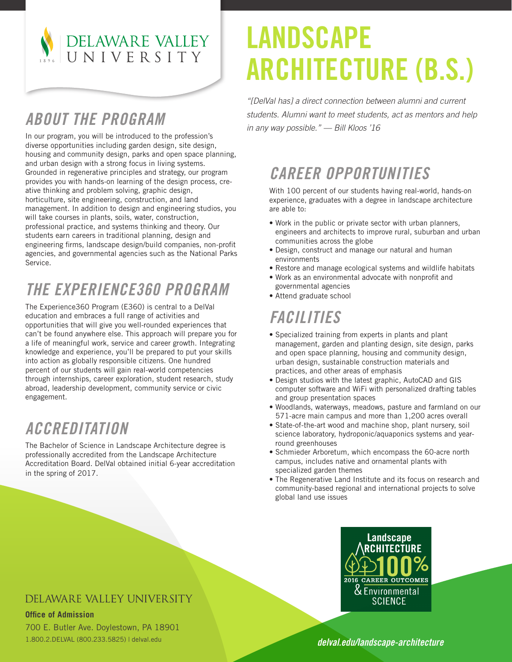

## LANDSCAPE ARCHITECTURE (B.S.)

*ABOUT THE PROGRAM*

In our program, you will be introduced to the profession's diverse opportunities including garden design, site design, housing and community design, parks and open space planning, and urban design with a strong focus in living systems. Grounded in regenerative principles and strategy, our program provides you with hands-on learning of the design process, creative thinking and problem solving, graphic design, horticulture, site engineering, construction, and land management. In addition to design and engineering studios, you will take courses in plants, soils, water, construction, professional practice, and systems thinking and theory. Our students earn careers in traditional planning, design and engineering firms, landscape design/build companies, non-profit agencies, and governmental agencies such as the National Parks Service.

## *THE EXPERIENCE360 PROGRAM*

The Experience360 Program (E360) is central to a DelVal education and embraces a full range of activities and opportunities that will give you well-rounded experiences that can't be found anywhere else. This approach will prepare you for a life of meaningful work, service and career growth. Integrating knowledge and experience, you'll be prepared to put your skills into action as globally responsible citizens. One hundred percent of our students will gain real-world competencies through internships, career exploration, student research, study abroad, leadership development, community service or civic engagement.

## *ACCREDITATION*

The Bachelor of Science in Landscape Architecture degree is professionally accredited from the Landscape Architecture Accreditation Board. DelVal obtained initial 6-year accreditation in the spring of 2017.

*"[DelVal has] a direct connection between alumni and current students. Alumni want to meet students, act as mentors and help in any way possible." — Bill Kloos '16*

## *CAREER OPPORTUNITIES*

With 100 percent of our students having real-world, hands-on experience, graduates with a degree in landscape architecture are able to:

- Work in the public or private sector with urban planners, engineers and architects to improve rural, suburban and urban communities across the globe
- Design, construct and manage our natural and human environments
- Restore and manage ecological systems and wildlife habitats
- Work as an environmental advocate with nonprofit and governmental agencies
- Attend graduate school

## *FACILITIES*

- Specialized training from experts in plants and plant management, garden and planting design, site design, parks and open space planning, housing and community design, urban design, sustainable construction materials and practices, and other areas of emphasis
- Design studios with the latest graphic, AutoCAD and GIS computer software and WiFi with personalized drafting tables and group presentation spaces
- Woodlands, waterways, meadows, pasture and farmland on our 571-acre main campus and more than 1,200 acres overall
- State-of-the-art wood and machine shop, plant nursery, soil science laboratory, hydroponic/aquaponics systems and yearround greenhouses
- Schmieder Arboretum, which encompass the 60-acre north campus, includes native and ornamental plants with specialized garden themes
- The Regenerative Land Institute and its focus on research and community-based regional and international projects to solve global land use issues



#### DELAWARE VALLEY UNIVERSITY

**Office of Admission**

700 E. Butler Ave. Doylestown, PA 18901 1.800.2.DELVAL (800.233.5825) | delval.edu

*delval.edu/landscape-architecture*